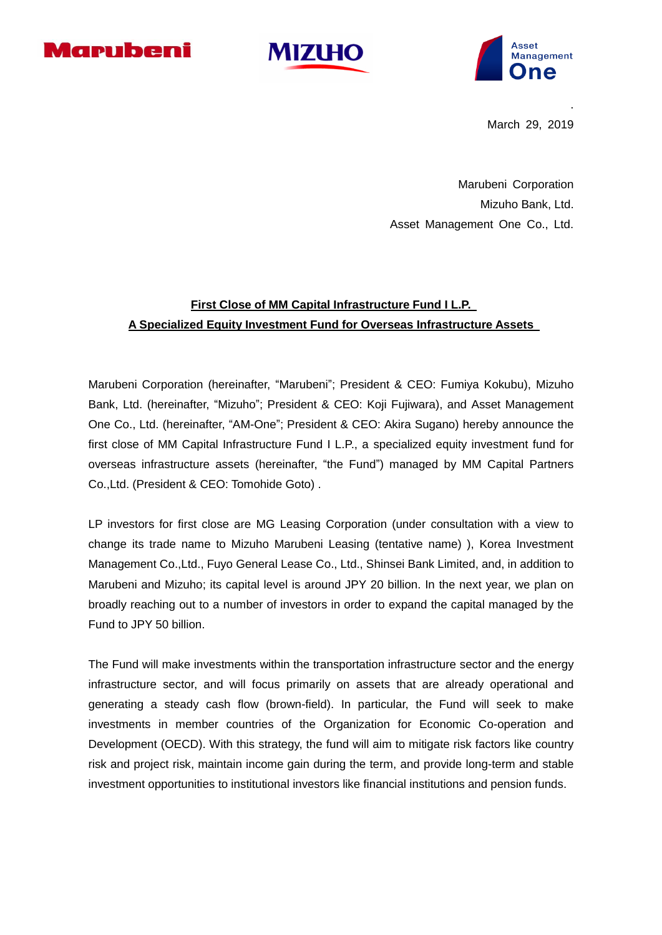





March 29, 2019

.

Marubeni Corporation Mizuho Bank, Ltd. Asset Management One Co., Ltd.

# **First Close of MM Capital Infrastructure Fund I L.P. A Specialized Equity Investment Fund for Overseas Infrastructure Assets**

Marubeni Corporation (hereinafter, "Marubeni"; President & CEO: Fumiya Kokubu), Mizuho Bank, Ltd. (hereinafter, "Mizuho"; President & CEO: Koji Fujiwara), and Asset Management One Co., Ltd. (hereinafter, "AM-One"; President & CEO: Akira Sugano) hereby announce the first close of MM Capital Infrastructure Fund I L.P., a specialized equity investment fund for overseas infrastructure assets (hereinafter, "the Fund") managed by MM Capital Partners Co.,Ltd. (President & CEO: Tomohide Goto) .

LP investors for first close are MG Leasing Corporation (under consultation with a view to change its trade name to Mizuho Marubeni Leasing (tentative name) ), Korea Investment Management Co.,Ltd., Fuyo General Lease Co., Ltd., Shinsei Bank Limited, and, in addition to Marubeni and Mizuho; its capital level is around JPY 20 billion. In the next year, we plan on broadly reaching out to a number of investors in order to expand the capital managed by the Fund to JPY 50 billion.

The Fund will make investments within the transportation infrastructure sector and the energy infrastructure sector, and will focus primarily on assets that are already operational and generating a steady cash flow (brown-field). In particular, the Fund will seek to make investments in member countries of the Organization for Economic Co-operation and Development (OECD). With this strategy, the fund will aim to mitigate risk factors like country risk and project risk, maintain income gain during the term, and provide long-term and stable investment opportunities to institutional investors like financial institutions and pension funds.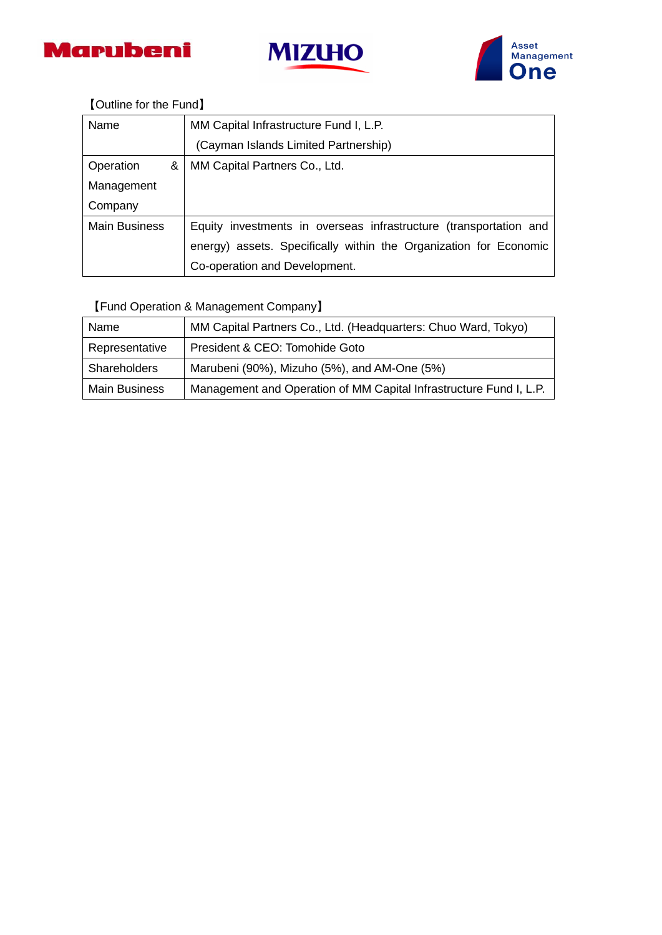





## 【Outline for the Fund】

| Name                 | MM Capital Infrastructure Fund I, L.P.                            |
|----------------------|-------------------------------------------------------------------|
|                      | (Cayman Islands Limited Partnership)                              |
| Operation<br>&       | MM Capital Partners Co., Ltd.                                     |
| Management           |                                                                   |
| Company              |                                                                   |
| <b>Main Business</b> | Equity investments in overseas infrastructure (transportation and |
|                      | energy) assets. Specifically within the Organization for Economic |
|                      | Co-operation and Development.                                     |

## 【Fund Operation & Management Company】

| Name                 | MM Capital Partners Co., Ltd. (Headquarters: Chuo Ward, Tokyo)     |
|----------------------|--------------------------------------------------------------------|
| Representative       | President & CEO: Tomohide Goto                                     |
| Shareholders         | Marubeni (90%), Mizuho (5%), and AM-One (5%)                       |
| <b>Main Business</b> | Management and Operation of MM Capital Infrastructure Fund I, L.P. |